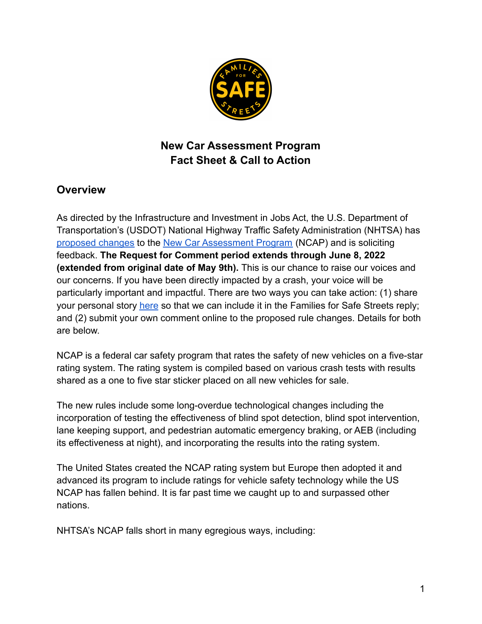

# **New Car Assessment Program Fact Sheet & Call to Action**

## **Overview**

As directed by the Infrastructure and Investment in Jobs Act, the U.S. Department of Transportation's (USDOT) National Highway Traffic Safety Administration (NHTSA) has [proposed changes](https://www.federalregister.gov/documents/2022/03/09/2022-04894/new-car-assessment-program) to the [New Car Assessment Program](https://en.wikipedia.org/wiki/New_Car_Assessment_Program) (NCAP) and is soliciting feedback. **The Request for Comment period extends through June 8, 2022 (extended from original date of May 9th).** This is our chance to raise our voices and our concerns. If you have been directly impacted by a crash, your voice will be particularly important and impactful. There are two ways you can take action: (1) share your personal story [here](https://docs.google.com/forms/d/e/1FAIpQLSc4_Q5z4iyQ4vFQdijoTUZAvd_9MeTXBJ5j1FEw1Jljh_BC3Q/viewform) so that we can include it in the Families for Safe Streets reply; and (2) submit your own comment online to the proposed rule changes. Details for both are below.

NCAP is a federal car safety program that rates the safety of new vehicles on a five-star rating system. The rating system is compiled based on various crash tests with results shared as a one to five star sticker placed on all new vehicles for sale.

The new rules include some long-overdue technological changes including the incorporation of testing the effectiveness of blind spot detection, blind spot intervention, lane keeping support, and pedestrian automatic emergency braking, or AEB (including its effectiveness at night), and incorporating the results into the rating system.

The United States created the NCAP rating system but Europe then adopted it and advanced its program to include ratings for vehicle safety technology while the US NCAP has fallen behind. It is far past time we caught up to and surpassed other nations.

NHTSA's NCAP falls short in many egregious ways, including: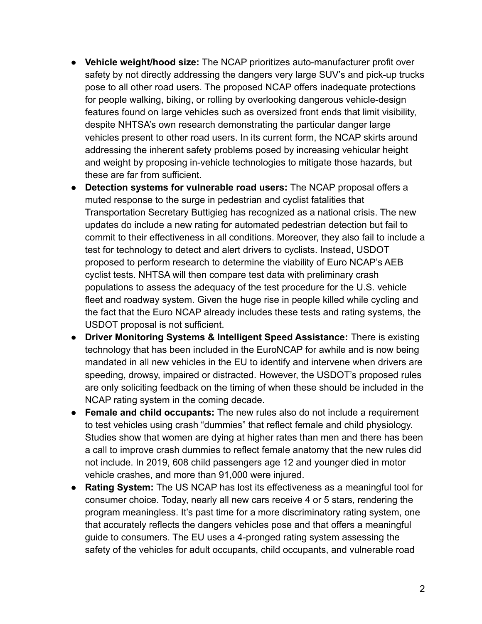- **Vehicle weight/hood size:** The NCAP prioritizes auto-manufacturer profit over safety by not directly addressing the dangers very large SUV's and pick-up trucks pose to all other road users. The proposed NCAP offers inadequate protections for people walking, biking, or rolling by overlooking dangerous vehicle-design features found on large vehicles such as oversized front ends that limit visibility, despite NHTSA's own research demonstrating the particular danger large vehicles present to other road users. In its current form, the NCAP skirts around addressing the inherent safety problems posed by increasing vehicular height and weight by proposing in-vehicle technologies to mitigate those hazards, but these are far from sufficient.
- **Detection systems for vulnerable road users:** The NCAP proposal offers a muted response to the surge in pedestrian and cyclist fatalities that Transportation Secretary Buttigieg has recognized as a national crisis. The new updates do include a new rating for automated pedestrian detection but fail to commit to their effectiveness in all conditions. Moreover, they also fail to include a test for technology to detect and alert drivers to cyclists. Instead, USDOT proposed to perform research to determine the viability of Euro NCAP's AEB cyclist tests. NHTSA will then compare test data with preliminary crash populations to assess the adequacy of the test procedure for the U.S. vehicle fleet and roadway system. Given the huge rise in people killed while cycling and the fact that the Euro NCAP already includes these tests and rating systems, the USDOT proposal is not sufficient.
- **● Driver Monitoring Systems & Intelligent Speed Assistance:** There is existing technology that has been included in the EuroNCAP for awhile and is now being mandated in all new vehicles in the EU to identify and intervene when drivers are speeding, drowsy, impaired or distracted. However, the USDOT's proposed rules are only soliciting feedback on the timing of when these should be included in the NCAP rating system in the coming decade.
- **Female and child occupants:** The new rules also do not include a requirement to test vehicles using crash "dummies" that reflect female and child physiology. Studies show that women are dying at higher rates than men and there has been a call to improve crash dummies to reflect female anatomy that the new rules did not include. In 2019, 608 child passengers age 12 and younger died in motor vehicle crashes, and more than 91,000 were injured.
- **● Rating System:** The US NCAP has lost its effectiveness as a meaningful tool for consumer choice. Today, nearly all new cars receive 4 or 5 stars, rendering the program meaningless. It's past time for a more discriminatory rating system, one that accurately reflects the dangers vehicles pose and that offers a meaningful guide to consumers. The EU uses a 4-pronged rating system assessing the safety of the vehicles for adult occupants, child occupants, and vulnerable road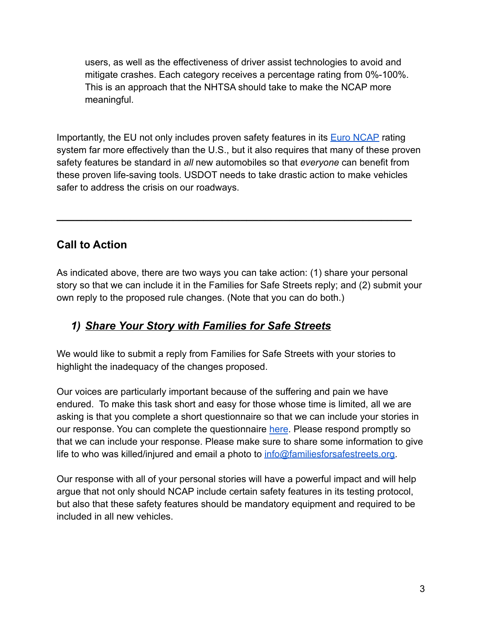users, as well as the effectiveness of driver assist technologies to avoid and mitigate crashes. Each category receives a percentage rating from 0%-100%. This is an approach that the NHTSA should take to make the NCAP more meaningful.

Importantly, the EU not only includes proven safety features in its [Euro NCAP](https://www.euroncap.com/en) rating system far more effectively than the U.S., but it also requires that many of these proven safety features be standard in *all* new automobiles so that *everyone* can benefit from these proven life-saving tools. USDOT needs to take drastic action to make vehicles safer to address the crisis on our roadways.

**\_\_\_\_\_\_\_\_\_\_\_\_\_\_\_\_\_\_\_\_\_\_\_\_\_\_\_\_\_\_\_\_\_\_\_\_\_\_\_\_\_\_\_\_\_\_\_\_\_\_\_\_\_\_\_\_\_\_**

## **Call to Action**

As indicated above, there are two ways you can take action: (1) share your personal story so that we can include it in the Families for Safe Streets reply; and (2) submit your own reply to the proposed rule changes. (Note that you can do both.)

## *1) Share Your Story with Families for Safe Streets*

We would like to submit a reply from Families for Safe Streets with your stories to highlight the inadequacy of the changes proposed.

Our voices are particularly important because of the suffering and pain we have endured. To make this task short and easy for those whose time is limited, all we are asking is that you complete a short questionnaire so that we can include your stories in our response. You can complete the questionnaire [here](https://docs.google.com/forms/d/e/1FAIpQLSc4_Q5z4iyQ4vFQdijoTUZAvd_9MeTXBJ5j1FEw1Jljh_BC3Q/viewform). Please respond promptly so that we can include your response. Please make sure to share some information to give life to who was killed/injured and email a photo to [info@familiesforsafestreets.org.](mailto:info@familiesforsafestreets.org)

Our response with all of your personal stories will have a powerful impact and will help argue that not only should NCAP include certain safety features in its testing protocol, but also that these safety features should be mandatory equipment and required to be included in all new vehicles.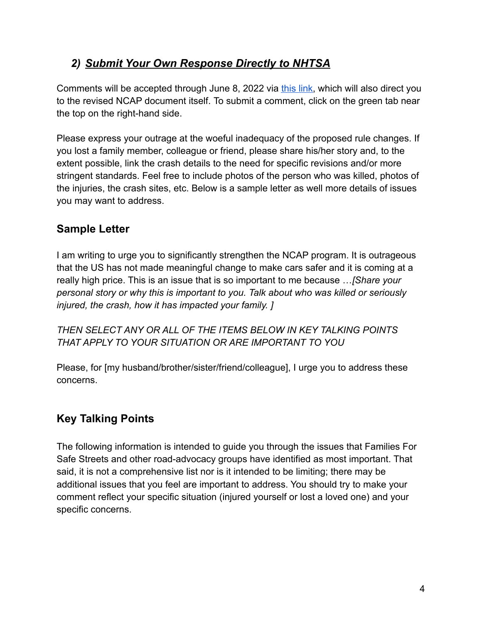## *2) Submit Your Own Response Directly to NHTSA*

Comments will be accepted through June 8, 2022 via [this link,](https://www.federalregister.gov/documents/2022/03/09/2022-04894/new-car-assessment-program) which will also direct you to the revised NCAP document itself. To submit a comment, click on the green tab near the top on the right-hand side.

Please express your outrage at the woeful inadequacy of the proposed rule changes. If you lost a family member, colleague or friend, please share his/her story and, to the extent possible, link the crash details to the need for specific revisions and/or more stringent standards. Feel free to include photos of the person who was killed, photos of the injuries, the crash sites, etc. Below is a sample letter as well more details of issues you may want to address.

## **Sample Letter**

I am writing to urge you to significantly strengthen the NCAP program. It is outrageous that the US has not made meaningful change to make cars safer and it is coming at a really high price. This is an issue that is so important to me because …*[Share your personal story or why this is important to you. Talk about who was killed or seriously injured, the crash, how it has impacted your family. ]*

*THEN SELECT ANY OR ALL OF THE ITEMS BELOW IN KEY TALKING POINTS THAT APPLY TO YOUR SITUATION OR ARE IMPORTANT TO YOU*

Please, for [my husband/brother/sister/friend/colleague], I urge you to address these concerns.

## **Key Talking Points**

The following information is intended to guide you through the issues that Families For Safe Streets and other road-advocacy groups have identified as most important. That said, it is not a comprehensive list nor is it intended to be limiting; there may be additional issues that you feel are important to address. You should try to make your comment reflect your specific situation (injured yourself or lost a loved one) and your specific concerns.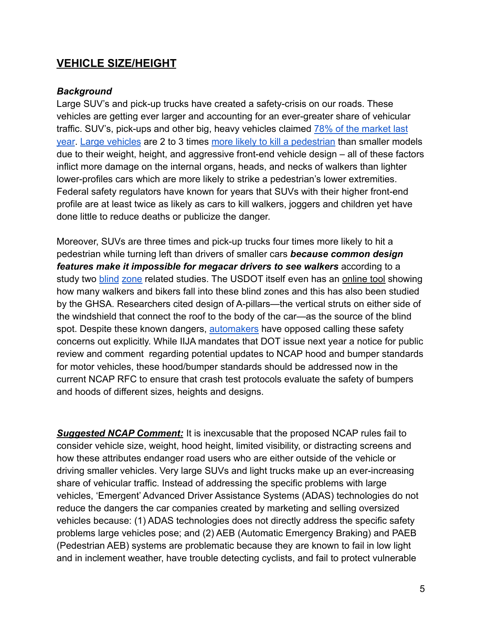### **VEHICLE SIZE/HEIGHT**

#### *Background*

Large SUV's and pick-up trucks have created a safety-crisis on our roads. These vehicles are getting ever larger and accounting for an ever-greater share of vehicular traffic. SUV's, pick-ups and other big, heavy vehicles claimed [78% of the market last](https://www.statista.com/statistics/199980/us-truck-sales-since-1951/#:~:text=In%202021%2C%20sales%20of%20light,sold%20in%20the%20United%20States) [year](https://www.statista.com/statistics/199980/us-truck-sales-since-1951/#:~:text=In%202021%2C%20sales%20of%20light,sold%20in%20the%20United%20States). [Large vehicles](https://usa.streetsblog.org/2022/03/17/study-megacar-drivers-up-to-4x-more-likely-to-hit-walkers-while-turning/) are 2 to 3 times more likely [to kill a pedestrian](https://www.freep.com/story/money/cars/2018/06/28/suvs-killing-americas-pedestrians/646139002/) than smaller models due to their weight, height, and aggressive front-end vehicle design – all of these factors inflict more damage on the internal organs, heads, and necks of walkers than lighter lower-profiles cars which are more likely to strike a pedestrian's lower extremities. Federal safety regulators have known for years that SUVs with their higher front-end profile are at least twice as likely as cars to kill walkers, joggers and children yet have done little to reduce deaths or publicize the danger.

Moreover, SUVs are three times and pick-up trucks four times more likely to hit a pedestrian while turning left than drivers of smaller cars *because common design features make it impossible for megacar drivers to see walkers* according to a study two [blind](https://www.iihs.org/news/detail/suvs-other-large-vehicles-often-hit-pedestrians-while-turning) [zone](https://www.iihs.org/news/detail/new-study-suggests-todays-suvs-are-more-lethal-to-pedestrians-than-car) related studies. The USDOT itself even has an [online tool](https://blindzonecalculator.herokuapp.com/) showing how many walkers and bikers fall into these blind zones and this has also been studied by the GHSA. Researchers cited design of A-pillars—the vertical struts on either side of the windshield that connect the roof to the body of the car—as the source of the blind spot. Despite these known dangers, [automakers](https://www.motorbiscuit.com/ford-and-gm-waste-a-lot-of-money-on-vehicles-that-arent-trucks-and-suvs/) have opposed calling these safety concerns out explicitly. While IIJA mandates that DOT issue next year a notice for public review and comment regarding potential updates to NCAP hood and bumper standards for motor vehicles, these hood/bumper standards should be addressed now in the current NCAP RFC to ensure that crash test protocols evaluate the safety of bumpers and hoods of different sizes, heights and designs.

*Suggested NCAP Comment:* It is inexcusable that the proposed NCAP rules fail to consider vehicle size, weight, hood height, limited visibility, or distracting screens and how these attributes endanger road users who are either outside of the vehicle or driving smaller vehicles. Very large SUVs and light trucks make up an ever-increasing share of vehicular traffic. Instead of addressing the specific problems with large vehicles, 'Emergent' Advanced Driver Assistance Systems (ADAS) technologies do not reduce the dangers the car companies created by marketing and selling oversized vehicles because: (1) ADAS technologies does not directly address the specific safety problems large vehicles pose; and (2) AEB (Automatic Emergency Braking) and PAEB (Pedestrian AEB) systems are problematic because they are known to fail in low light and in inclement weather, have trouble detecting cyclists, and fail to protect vulnerable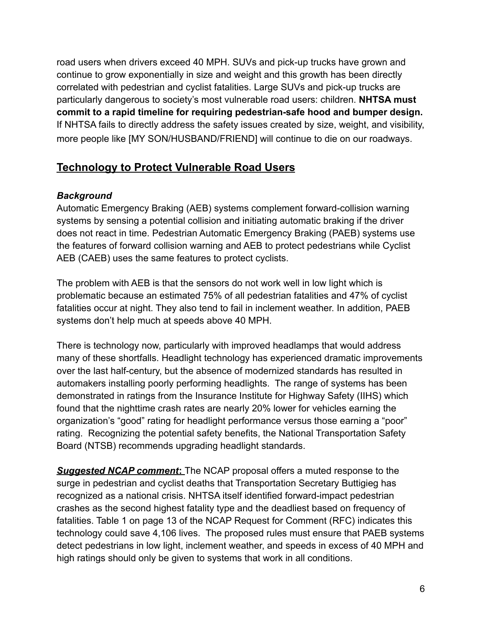road users when drivers exceed 40 MPH. SUVs and pick-up trucks have grown and continue to grow exponentially in size and weight and this growth has been directly correlated with pedestrian and cyclist fatalities. Large SUVs and pick-up trucks are particularly dangerous to society's most vulnerable road users: children. **NHTSA must commit to a rapid timeline for requiring pedestrian-safe hood and bumper design.** If NHTSA fails to directly address the safety issues created by size, weight, and visibility, more people like [MY SON/HUSBAND/FRIEND] will continue to die on our roadways.

## **Technology to Protect Vulnerable Road Users**

#### *Background*

Automatic Emergency Braking (AEB) systems complement forward-collision warning systems by sensing a potential collision and initiating automatic braking if the driver does not react in time. Pedestrian Automatic Emergency Braking (PAEB) systems use the features of forward collision warning and AEB to protect pedestrians while Cyclist AEB (CAEB) uses the same features to protect cyclists.

The problem with AEB is that the sensors do not work well in low light which is problematic because an estimated 75% of all pedestrian fatalities and 47% of cyclist fatalities occur at night. They also tend to fail in inclement weather. In addition, PAEB systems don't help much at speeds above 40 MPH.

There is technology now, particularly with improved headlamps that would address many of these shortfalls. Headlight technology has experienced dramatic improvements over the last half-century, but the absence of modernized standards has resulted in automakers installing poorly performing headlights. The range of systems has been demonstrated in ratings from the Insurance Institute for Highway Safety (IIHS) which found that the nighttime crash rates are nearly 20% lower for vehicles earning the organization's "good" rating for headlight performance versus those earning a "poor" rating. Recognizing the potential safety benefits, the National Transportation Safety Board (NTSB) recommends upgrading headlight standards.

*Suggested NCAP comment***:** The NCAP proposal offers a muted response to the surge in pedestrian and cyclist deaths that Transportation Secretary Buttigieg has recognized as a national crisis. NHTSA itself identified forward-impact pedestrian crashes as the second highest fatality type and the deadliest based on frequency of fatalities. Table 1 on page 13 of the NCAP Request for Comment (RFC) indicates this technology could save 4,106 lives. The proposed rules must ensure that PAEB systems detect pedestrians in low light, inclement weather, and speeds in excess of 40 MPH and high ratings should only be given to systems that work in all conditions.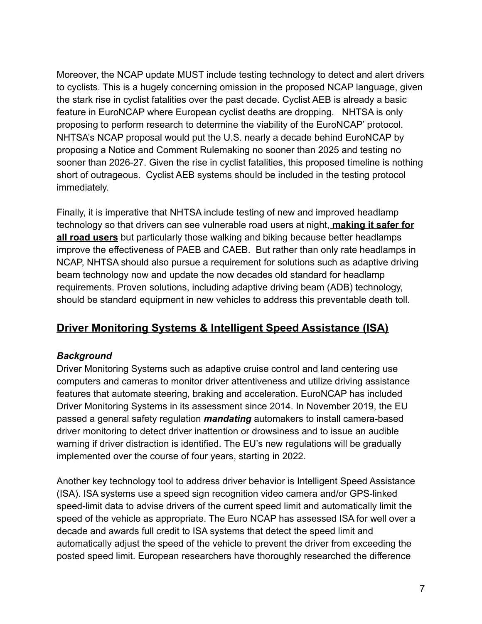Moreover, the NCAP update MUST include testing technology to detect and alert drivers to cyclists. This is a hugely concerning omission in the proposed NCAP language, given the stark rise in cyclist fatalities over the past decade. Cyclist AEB is already a basic feature in EuroNCAP where European cyclist deaths are dropping. NHTSA is only proposing to perform research to determine the viability of the EuroNCAP' protocol. NHTSA's NCAP proposal would put the U.S. nearly a decade behind EuroNCAP by proposing a Notice and Comment Rulemaking no sooner than 2025 and testing no sooner than 2026-27. Given the rise in cyclist fatalities, this proposed timeline is nothing short of outrageous. Cyclist AEB systems should be included in the testing protocol immediately.

Finally, it is imperative that NHTSA include testing of new and improved headlamp technology so that drivers can see vulnerable road users at night, **making it safer for all road users** but particularly those walking and biking because better headlamps improve the effectiveness of PAEB and CAEB. But rather than only rate headlamps in NCAP, NHTSA should also pursue a requirement for solutions such as adaptive driving beam technology now and update the now decades old standard for headlamp requirements. Proven solutions, including adaptive driving beam (ADB) technology, should be standard equipment in new vehicles to address this preventable death toll.

## **Driver Monitoring Systems & Intelligent Speed Assistance (ISA)**

#### *Background*

Driver Monitoring Systems such as adaptive cruise control and land centering use computers and cameras to monitor driver attentiveness and utilize driving assistance features that automate steering, braking and acceleration. EuroNCAP has included Driver Monitoring Systems in its assessment since 2014. In November 2019, the EU passed a general safety regulation *mandating* automakers to install camera-based driver monitoring to detect driver inattention or drowsiness and to issue an audible warning if driver distraction is identified. The EU's new regulations will be gradually implemented over the course of four years, starting in 2022.

Another key technology tool to address driver behavior is Intelligent Speed Assistance (ISA). ISA systems use a speed sign recognition video camera and/or GPS-linked speed-limit data to advise drivers of the current speed limit and automatically limit the speed of the vehicle as appropriate. The Euro NCAP has assessed ISA for well over a decade and awards full credit to ISA systems that detect the speed limit and automatically adjust the speed of the vehicle to prevent the driver from exceeding the posted speed limit. European researchers have thoroughly researched the difference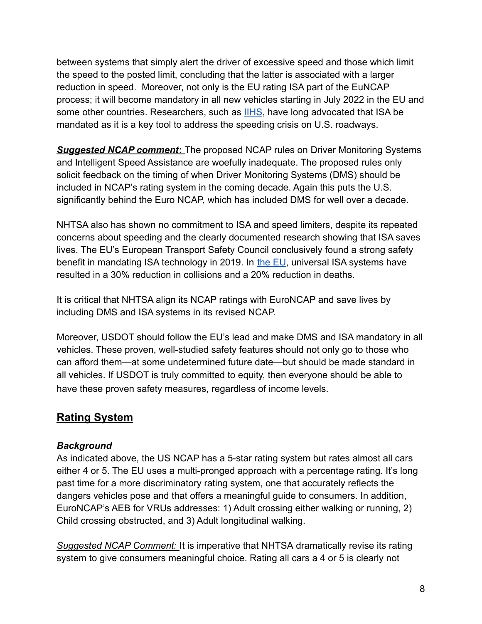between systems that simply alert the driver of excessive speed and those which limit the speed to the posted limit, concluding that the latter is associated with a larger reduction in speed. Moreover, not only is the EU rating ISA part of the EuNCAP process; it will become mandatory in all new vehicles starting in July 2022 in the EU and some other countries. Researchers, such as **[IIHS](https://www.iihs.org/news/detail/iihs-urges-nhtsa-to-look-beyond-education-to-address-speed-problem)**, have long advocated that ISA be mandated as it is a key tool to address the speeding crisis on U.S. roadways.

*Suggested NCAP comment***:** The proposed NCAP rules on Driver Monitoring Systems and Intelligent Speed Assistance are woefully inadequate. The proposed rules only solicit feedback on the timing of when Driver Monitoring Systems (DMS) should be included in NCAP's rating system in the coming decade. Again this puts the U.S. significantly behind the Euro NCAP, which has included DMS for well over a decade.

NHTSA also has shown no commitment to ISA and speed limiters, despite its repeated concerns about speeding and the clearly documented research showing that ISA saves lives. The EU's European Transport Safety Council conclusively found a strong safety benefit in mandating ISA technology in 2019. In the [EU,](https://etsc.eu/intelligent-speed-assistance-isa/) universal ISA systems have resulted in a 30% reduction in collisions and a 20% reduction in deaths.

It is critical that NHTSA align its NCAP ratings with EuroNCAP and save lives by including DMS and ISA systems in its revised NCAP.

Moreover, USDOT should follow the EU's lead and make DMS and ISA mandatory in all vehicles. These proven, well-studied safety features should not only go to those who can afford them—at some undetermined future date—but should be made standard in all vehicles. If USDOT is truly committed to equity, then everyone should be able to have these proven safety measures, regardless of income levels.

## **Rating System**

#### *Background*

As indicated above, the US NCAP has a 5-star rating system but rates almost all cars either 4 or 5. The EU uses a multi-pronged approach with a percentage rating. It's long past time for a more discriminatory rating system, one that accurately reflects the dangers vehicles pose and that offers a meaningful guide to consumers. In addition, EuroNCAP's AEB for VRUs addresses: 1) Adult crossing either walking or running, 2) Child crossing obstructed, and 3) Adult longitudinal walking.

*Suggested NCAP Comment:* It is imperative that NHTSA dramatically revise its rating system to give consumers meaningful choice. Rating all cars a 4 or 5 is clearly not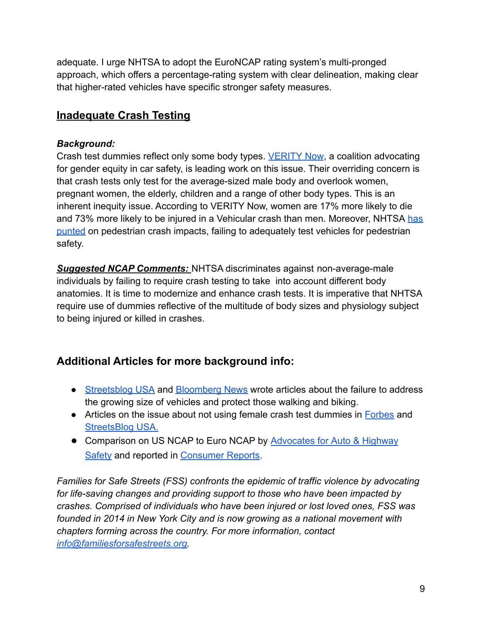adequate. I urge NHTSA to adopt the EuroNCAP rating system's multi-pronged approach, which offers a percentage-rating system with clear delineation, making clear that higher-rated vehicles have specific stronger safety measures.

## **Inadequate Crash Testing**

#### *Background:*

Crash test dummies reflect only some body types. [VERITY](https://www.veritynow.org/) Now, a coalition advocating for gender equity in car safety, is leading work on this issue. Their overriding concern is that crash tests only test for the average-sized male body and overlook women, pregnant women, the elderly, children and a range of other body types. This is an inherent inequity issue. According to VERITY Now, women are 17% more likely to die and 73% more likely to be injured in a Vehicular crash than men. Moreover, NHTSA [has](https://www.bloomberg.com/news/articles/2022-03-18/fix-the-crash-test-dummies) [punted](https://www.bloomberg.com/news/articles/2022-03-18/fix-the-crash-test-dummies) on pedestrian crash impacts, failing to adequately test vehicles for pedestrian safety.

*Suggested NCAP Comments:* NHTSA discriminates against non-average-male individuals by failing to require crash testing to take into account different body anatomies. It is time to modernize and enhance crash tests. It is imperative that NHTSA require use of dummies reflective of the multitude of body sizes and physiology subject to being injured or killed in crashes.

## **Additional Articles for more background info:**

- [Streetsblog USA](https://usa.streetsblog.org/2022/03/08/fed-vehicle-safety-rating-update-wont-get-megacars-off-the-road/) and [Bloomberg News](https://www.bloomberg.com/news/articles/2022-03-18/fix-the-crash-test-dummies) wrote articles about the failure to address the growing size of vehicles and protect those walking and biking.
- Articles on the issue about not using female crash test dummies in [Forbes](http://here) and [StreetsBlog USA.](https://usa.streetsblog.org/2021/12/22/advocates-urge-federal-update-of-flawed-crash-testing-standards-that-discriminate-by-gender/)
- Comparison on US NCAP to Euro NCAP by Advocates for [Auto & Highway](https://saferoads.org/2019/10/17/ncap-at-40-time-to-return-to-excellence/) [Safety](https://saferoads.org/2019/10/17/ncap-at-40-time-to-return-to-excellence/) and reported in [Consumer Reports](https://www.consumerreports.org/car-safety/federal-car-crash-testing-needs-major-overhaul-safety-advocates-say/).

*Families for Safe Streets (FSS) confronts the epidemic of traffic violence by advocating for life-saving changes and providing support to those who have been impacted by crashes. Comprised of individuals who have been injured or lost loved ones, FSS was founded in 2014 in New York City and is now growing as a national movement with chapters forming across the country. For more information, contact [info@familiesforsafestreets.org.](mailto:info@familiesforsafestreets.org)*